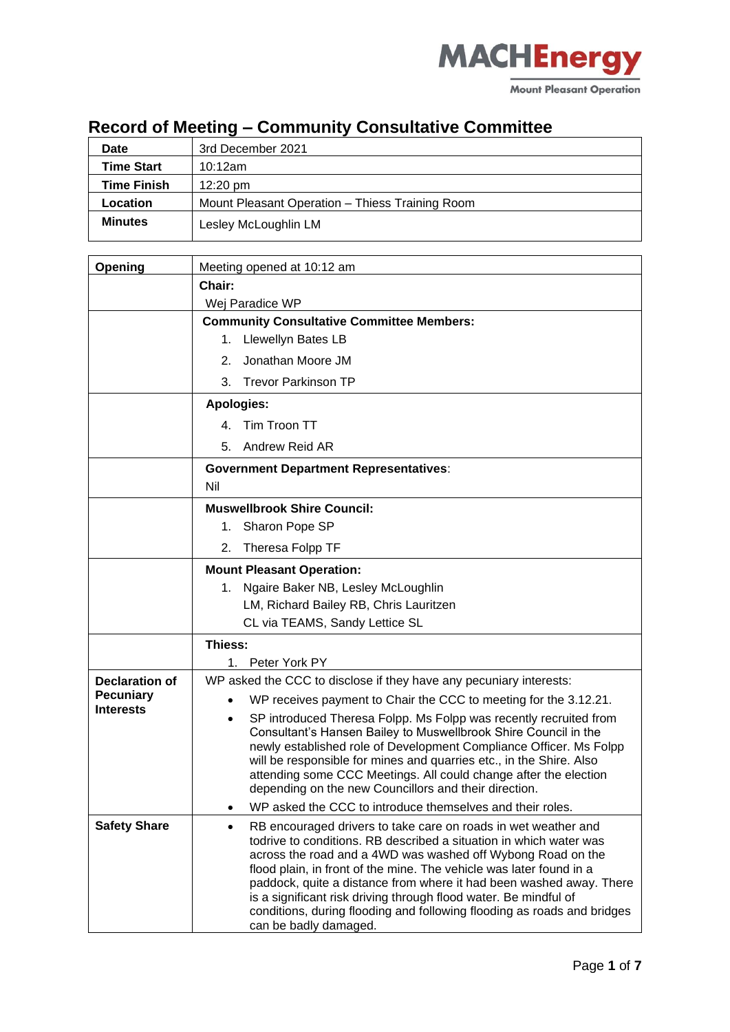

#### **Record of Meeting – Community Consultative Committee**

| Date              | 3rd December 2021                               |
|-------------------|-------------------------------------------------|
| <b>Time Start</b> | 10:12am                                         |
| Time Finish       | $12:20 \text{ pm}$                              |
| Location          | Mount Pleasant Operation - Thiess Training Room |
| <b>Minutes</b>    | Lesley McLoughlin LM                            |

| Opening                                   | Meeting opened at 10:12 am                                                                                                                                                                                                                                                                                                                                                                                                                                                                                                             |
|-------------------------------------------|----------------------------------------------------------------------------------------------------------------------------------------------------------------------------------------------------------------------------------------------------------------------------------------------------------------------------------------------------------------------------------------------------------------------------------------------------------------------------------------------------------------------------------------|
|                                           | Chair:                                                                                                                                                                                                                                                                                                                                                                                                                                                                                                                                 |
|                                           | Wej Paradice WP                                                                                                                                                                                                                                                                                                                                                                                                                                                                                                                        |
|                                           | <b>Community Consultative Committee Members:</b>                                                                                                                                                                                                                                                                                                                                                                                                                                                                                       |
|                                           | <b>Llewellyn Bates LB</b><br>1.                                                                                                                                                                                                                                                                                                                                                                                                                                                                                                        |
|                                           | Jonathan Moore JM<br>2.                                                                                                                                                                                                                                                                                                                                                                                                                                                                                                                |
|                                           | 3.<br><b>Trevor Parkinson TP</b>                                                                                                                                                                                                                                                                                                                                                                                                                                                                                                       |
|                                           | <b>Apologies:</b>                                                                                                                                                                                                                                                                                                                                                                                                                                                                                                                      |
|                                           | 4. Tim Troon TT                                                                                                                                                                                                                                                                                                                                                                                                                                                                                                                        |
|                                           | Andrew Reid AR<br>5.                                                                                                                                                                                                                                                                                                                                                                                                                                                                                                                   |
|                                           | <b>Government Department Representatives:</b>                                                                                                                                                                                                                                                                                                                                                                                                                                                                                          |
|                                           | Nil                                                                                                                                                                                                                                                                                                                                                                                                                                                                                                                                    |
|                                           | <b>Muswellbrook Shire Council:</b>                                                                                                                                                                                                                                                                                                                                                                                                                                                                                                     |
|                                           | Sharon Pope SP<br>1.                                                                                                                                                                                                                                                                                                                                                                                                                                                                                                                   |
|                                           | 2.<br>Theresa Folpp TF                                                                                                                                                                                                                                                                                                                                                                                                                                                                                                                 |
|                                           | <b>Mount Pleasant Operation:</b>                                                                                                                                                                                                                                                                                                                                                                                                                                                                                                       |
|                                           | Ngaire Baker NB, Lesley McLoughlin<br>1.                                                                                                                                                                                                                                                                                                                                                                                                                                                                                               |
|                                           | LM, Richard Bailey RB, Chris Lauritzen                                                                                                                                                                                                                                                                                                                                                                                                                                                                                                 |
|                                           | CL via TEAMS, Sandy Lettice SL                                                                                                                                                                                                                                                                                                                                                                                                                                                                                                         |
|                                           | Thiess:                                                                                                                                                                                                                                                                                                                                                                                                                                                                                                                                |
|                                           | 1.<br>Peter York PY                                                                                                                                                                                                                                                                                                                                                                                                                                                                                                                    |
| <b>Declaration of</b><br><b>Pecuniary</b> | WP asked the CCC to disclose if they have any pecuniary interests:                                                                                                                                                                                                                                                                                                                                                                                                                                                                     |
| <b>Interests</b>                          | WP receives payment to Chair the CCC to meeting for the 3.12.21.                                                                                                                                                                                                                                                                                                                                                                                                                                                                       |
|                                           | SP introduced Theresa Folpp. Ms Folpp was recently recruited from<br>Consultant's Hansen Bailey to Muswellbrook Shire Council in the<br>newly established role of Development Compliance Officer. Ms Folpp                                                                                                                                                                                                                                                                                                                             |
|                                           | will be responsible for mines and quarries etc., in the Shire. Also<br>attending some CCC Meetings. All could change after the election<br>depending on the new Councillors and their direction.                                                                                                                                                                                                                                                                                                                                       |
|                                           | WP asked the CCC to introduce themselves and their roles.                                                                                                                                                                                                                                                                                                                                                                                                                                                                              |
| <b>Safety Share</b>                       | RB encouraged drivers to take care on roads in wet weather and<br>$\bullet$<br>todrive to conditions. RB described a situation in which water was<br>across the road and a 4WD was washed off Wybong Road on the<br>flood plain, in front of the mine. The vehicle was later found in a<br>paddock, quite a distance from where it had been washed away. There<br>is a significant risk driving through flood water. Be mindful of<br>conditions, during flooding and following flooding as roads and bridges<br>can be badly damaged. |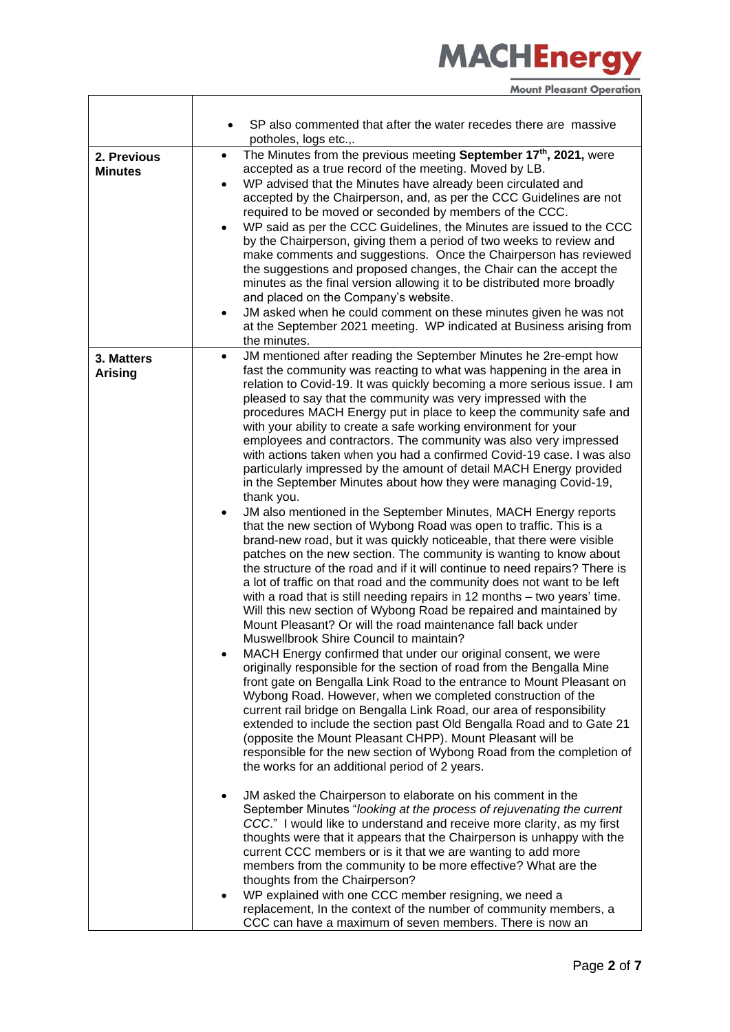|                               | SP also commented that after the water recedes there are massive<br>potholes, logs etc.,.                                                                                                                                                                                                                                                                                                                                                                                                                                                                                                                                                                                                                                                                                                                                                                                                                                                                                                                                                                                                                                                                                                                                                                                                                                                                                                                                                                                                                                                                                                                                                                                                                                                                                                                                                                                                                                                                                                                                                                                                        |
|-------------------------------|--------------------------------------------------------------------------------------------------------------------------------------------------------------------------------------------------------------------------------------------------------------------------------------------------------------------------------------------------------------------------------------------------------------------------------------------------------------------------------------------------------------------------------------------------------------------------------------------------------------------------------------------------------------------------------------------------------------------------------------------------------------------------------------------------------------------------------------------------------------------------------------------------------------------------------------------------------------------------------------------------------------------------------------------------------------------------------------------------------------------------------------------------------------------------------------------------------------------------------------------------------------------------------------------------------------------------------------------------------------------------------------------------------------------------------------------------------------------------------------------------------------------------------------------------------------------------------------------------------------------------------------------------------------------------------------------------------------------------------------------------------------------------------------------------------------------------------------------------------------------------------------------------------------------------------------------------------------------------------------------------------------------------------------------------------------------------------------------------|
| 2. Previous<br><b>Minutes</b> | The Minutes from the previous meeting September 17 <sup>th</sup> , 2021, were<br>$\bullet$<br>accepted as a true record of the meeting. Moved by LB.<br>WP advised that the Minutes have already been circulated and<br>$\bullet$<br>accepted by the Chairperson, and, as per the CCC Guidelines are not<br>required to be moved or seconded by members of the CCC.<br>WP said as per the CCC Guidelines, the Minutes are issued to the CCC<br>$\bullet$<br>by the Chairperson, giving them a period of two weeks to review and<br>make comments and suggestions. Once the Chairperson has reviewed<br>the suggestions and proposed changes, the Chair can the accept the<br>minutes as the final version allowing it to be distributed more broadly<br>and placed on the Company's website.<br>JM asked when he could comment on these minutes given he was not<br>$\bullet$<br>at the September 2021 meeting. WP indicated at Business arising from<br>the minutes.                                                                                                                                                                                                                                                                                                                                                                                                                                                                                                                                                                                                                                                                                                                                                                                                                                                                                                                                                                                                                                                                                                                            |
| 3. Matters<br><b>Arising</b>  | JM mentioned after reading the September Minutes he 2re-empt how<br>$\bullet$<br>fast the community was reacting to what was happening in the area in<br>relation to Covid-19. It was quickly becoming a more serious issue. I am<br>pleased to say that the community was very impressed with the<br>procedures MACH Energy put in place to keep the community safe and<br>with your ability to create a safe working environment for your<br>employees and contractors. The community was also very impressed<br>with actions taken when you had a confirmed Covid-19 case. I was also<br>particularly impressed by the amount of detail MACH Energy provided<br>in the September Minutes about how they were managing Covid-19,<br>thank you.<br>JM also mentioned in the September Minutes, MACH Energy reports<br>that the new section of Wybong Road was open to traffic. This is a<br>brand-new road, but it was quickly noticeable, that there were visible<br>patches on the new section. The community is wanting to know about<br>the structure of the road and if it will continue to need repairs? There is<br>a lot of traffic on that road and the community does not want to be left<br>with a road that is still needing repairs in 12 months - two years' time.<br>Will this new section of Wybong Road be repaired and maintained by<br>Mount Pleasant? Or will the road maintenance fall back under<br>Muswellbrook Shire Council to maintain?<br>MACH Energy confirmed that under our original consent, we were<br>originally responsible for the section of road from the Bengalla Mine<br>front gate on Bengalla Link Road to the entrance to Mount Pleasant on<br>Wybong Road. However, when we completed construction of the<br>current rail bridge on Bengalla Link Road, our area of responsibility<br>extended to include the section past Old Bengalla Road and to Gate 21<br>(opposite the Mount Pleasant CHPP). Mount Pleasant will be<br>responsible for the new section of Wybong Road from the completion of<br>the works for an additional period of 2 years. |
|                               | JM asked the Chairperson to elaborate on his comment in the<br>$\bullet$<br>September Minutes "looking at the process of rejuvenating the current<br>CCC." I would like to understand and receive more clarity, as my first<br>thoughts were that it appears that the Chairperson is unhappy with the<br>current CCC members or is it that we are wanting to add more<br>members from the community to be more effective? What are the<br>thoughts from the Chairperson?<br>WP explained with one CCC member resigning, we need a<br>replacement, In the context of the number of community members, a<br>CCC can have a maximum of seven members. There is now an                                                                                                                                                                                                                                                                                                                                                                                                                                                                                                                                                                                                                                                                                                                                                                                                                                                                                                                                                                                                                                                                                                                                                                                                                                                                                                                                                                                                                               |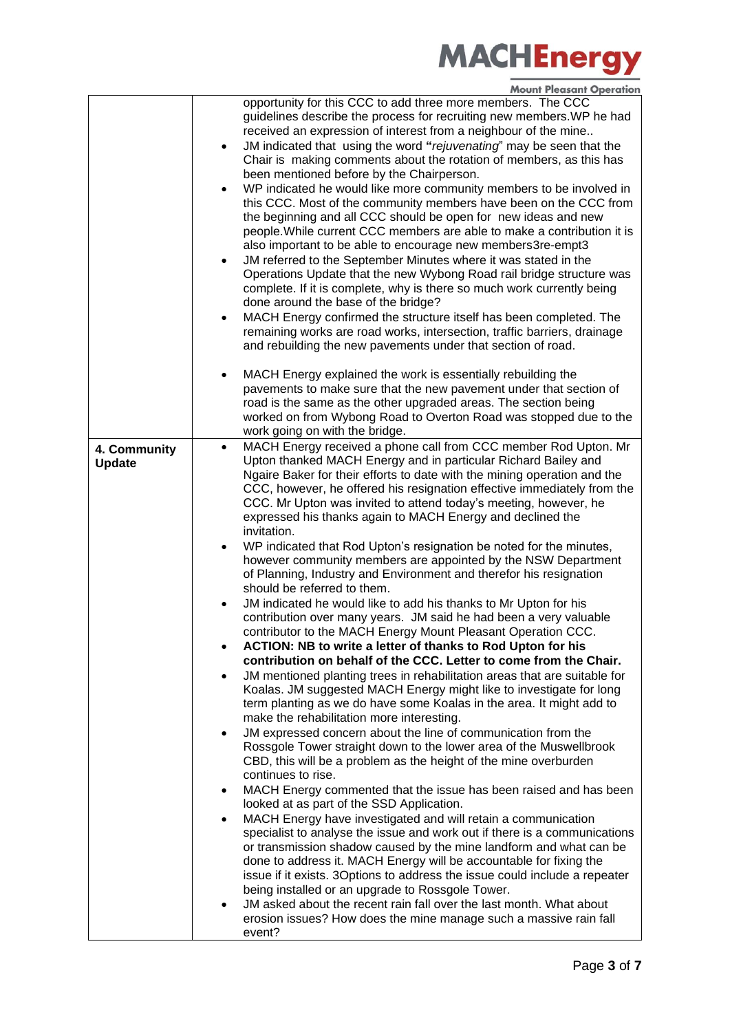|                               | opportunity for this CCC to add three more members. The CCC<br>guidelines describe the process for recruiting new members. WP he had<br>received an expression of interest from a neighbour of the mine<br>JM indicated that using the word "rejuvenating" may be seen that the<br>$\bullet$<br>Chair is making comments about the rotation of members, as this has<br>been mentioned before by the Chairperson.<br>WP indicated he would like more community members to be involved in<br>this CCC. Most of the community members have been on the CCC from<br>the beginning and all CCC should be open for new ideas and new<br>people. While current CCC members are able to make a contribution it is<br>also important to be able to encourage new members3re-empt3<br>JM referred to the September Minutes where it was stated in the<br>Operations Update that the new Wybong Road rail bridge structure was<br>complete. If it is complete, why is there so much work currently being<br>done around the base of the bridge?<br>MACH Energy confirmed the structure itself has been completed. The<br>$\bullet$<br>remaining works are road works, intersection, traffic barriers, drainage<br>and rebuilding the new pavements under that section of road. |
|-------------------------------|---------------------------------------------------------------------------------------------------------------------------------------------------------------------------------------------------------------------------------------------------------------------------------------------------------------------------------------------------------------------------------------------------------------------------------------------------------------------------------------------------------------------------------------------------------------------------------------------------------------------------------------------------------------------------------------------------------------------------------------------------------------------------------------------------------------------------------------------------------------------------------------------------------------------------------------------------------------------------------------------------------------------------------------------------------------------------------------------------------------------------------------------------------------------------------------------------------------------------------------------------------------------|
|                               | MACH Energy explained the work is essentially rebuilding the<br>$\bullet$<br>pavements to make sure that the new pavement under that section of<br>road is the same as the other upgraded areas. The section being<br>worked on from Wybong Road to Overton Road was stopped due to the<br>work going on with the bridge.                                                                                                                                                                                                                                                                                                                                                                                                                                                                                                                                                                                                                                                                                                                                                                                                                                                                                                                                           |
| 4. Community<br><b>Update</b> | MACH Energy received a phone call from CCC member Rod Upton. Mr<br>$\bullet$<br>Upton thanked MACH Energy and in particular Richard Bailey and<br>Ngaire Baker for their efforts to date with the mining operation and the<br>CCC, however, he offered his resignation effective immediately from the<br>CCC. Mr Upton was invited to attend today's meeting, however, he<br>expressed his thanks again to MACH Energy and declined the<br>invitation.                                                                                                                                                                                                                                                                                                                                                                                                                                                                                                                                                                                                                                                                                                                                                                                                              |
|                               | WP indicated that Rod Upton's resignation be noted for the minutes,<br>however community members are appointed by the NSW Department<br>of Planning, Industry and Environment and therefor his resignation<br>should be referred to them.                                                                                                                                                                                                                                                                                                                                                                                                                                                                                                                                                                                                                                                                                                                                                                                                                                                                                                                                                                                                                           |
|                               | JM indicated he would like to add his thanks to Mr Upton for his<br>$\bullet$<br>contribution over many years. JM said he had been a very valuable<br>contributor to the MACH Energy Mount Pleasant Operation CCC.                                                                                                                                                                                                                                                                                                                                                                                                                                                                                                                                                                                                                                                                                                                                                                                                                                                                                                                                                                                                                                                  |
|                               | ACTION: NB to write a letter of thanks to Rod Upton for his                                                                                                                                                                                                                                                                                                                                                                                                                                                                                                                                                                                                                                                                                                                                                                                                                                                                                                                                                                                                                                                                                                                                                                                                         |
|                               | contribution on behalf of the CCC. Letter to come from the Chair.                                                                                                                                                                                                                                                                                                                                                                                                                                                                                                                                                                                                                                                                                                                                                                                                                                                                                                                                                                                                                                                                                                                                                                                                   |
|                               | JM mentioned planting trees in rehabilitation areas that are suitable for<br>$\bullet$<br>Koalas. JM suggested MACH Energy might like to investigate for long<br>term planting as we do have some Koalas in the area. It might add to                                                                                                                                                                                                                                                                                                                                                                                                                                                                                                                                                                                                                                                                                                                                                                                                                                                                                                                                                                                                                               |
|                               | make the rehabilitation more interesting.                                                                                                                                                                                                                                                                                                                                                                                                                                                                                                                                                                                                                                                                                                                                                                                                                                                                                                                                                                                                                                                                                                                                                                                                                           |
|                               | JM expressed concern about the line of communication from the<br>$\bullet$<br>Rossgole Tower straight down to the lower area of the Muswellbrook<br>CBD, this will be a problem as the height of the mine overburden<br>continues to rise.                                                                                                                                                                                                                                                                                                                                                                                                                                                                                                                                                                                                                                                                                                                                                                                                                                                                                                                                                                                                                          |
|                               | MACH Energy commented that the issue has been raised and has been<br>٠<br>looked at as part of the SSD Application.                                                                                                                                                                                                                                                                                                                                                                                                                                                                                                                                                                                                                                                                                                                                                                                                                                                                                                                                                                                                                                                                                                                                                 |
|                               | MACH Energy have investigated and will retain a communication<br>$\bullet$<br>specialist to analyse the issue and work out if there is a communications<br>or transmission shadow caused by the mine landform and what can be<br>done to address it. MACH Energy will be accountable for fixing the<br>issue if it exists. 3Options to address the issue could include a repeater<br>being installed or an upgrade to Rossgole Tower.                                                                                                                                                                                                                                                                                                                                                                                                                                                                                                                                                                                                                                                                                                                                                                                                                               |
|                               | JM asked about the recent rain fall over the last month. What about<br>$\bullet$<br>erosion issues? How does the mine manage such a massive rain fall<br>event?                                                                                                                                                                                                                                                                                                                                                                                                                                                                                                                                                                                                                                                                                                                                                                                                                                                                                                                                                                                                                                                                                                     |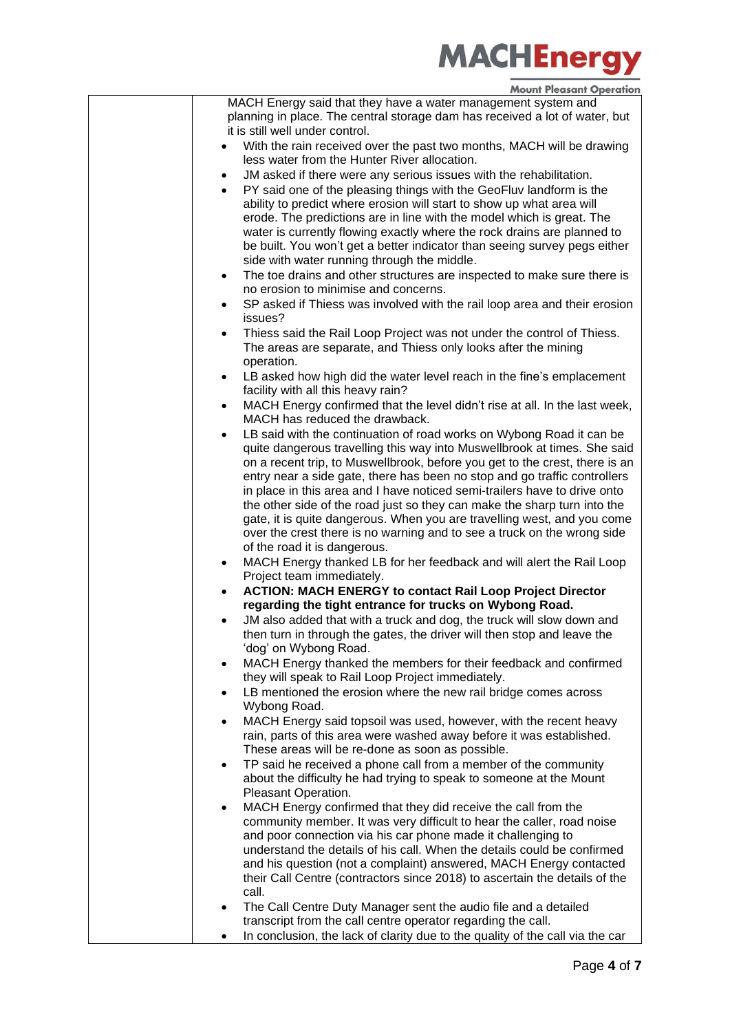| MACH Energy said that they have a water management system and<br>planning in place. The central storage dam has received a lot of water, but<br>it is still well under control.                                                                                                                                                                                                                                                                                  |
|------------------------------------------------------------------------------------------------------------------------------------------------------------------------------------------------------------------------------------------------------------------------------------------------------------------------------------------------------------------------------------------------------------------------------------------------------------------|
| With the rain received over the past two months, MACH will be drawing<br>less water from the Hunter River allocation.                                                                                                                                                                                                                                                                                                                                            |
| JM asked if there were any serious issues with the rehabilitation.<br>$\bullet$<br>PY said one of the pleasing things with the GeoFluv landform is the<br>ability to predict where erosion will start to show up what area will<br>erode. The predictions are in line with the model which is great. The<br>water is currently flowing exactly where the rock drains are planned to<br>be built. You won't get a better indicator than seeing survey pegs either |
| side with water running through the middle.<br>The toe drains and other structures are inspected to make sure there is<br>$\bullet$<br>no erosion to minimise and concerns.                                                                                                                                                                                                                                                                                      |
| SP asked if Thiess was involved with the rail loop area and their erosion<br>$\bullet$<br>issues?                                                                                                                                                                                                                                                                                                                                                                |
| Thiess said the Rail Loop Project was not under the control of Thiess.<br>The areas are separate, and Thiess only looks after the mining<br>operation.                                                                                                                                                                                                                                                                                                           |
| LB asked how high did the water level reach in the fine's emplacement<br>facility with all this heavy rain?                                                                                                                                                                                                                                                                                                                                                      |
| MACH Energy confirmed that the level didn't rise at all. In the last week,<br>$\bullet$<br>MACH has reduced the drawback.                                                                                                                                                                                                                                                                                                                                        |
| LB said with the continuation of road works on Wybong Road it can be<br>$\bullet$<br>quite dangerous travelling this way into Muswellbrook at times. She said<br>on a recent trip, to Muswellbrook, before you get to the crest, there is an                                                                                                                                                                                                                     |
| entry near a side gate, there has been no stop and go traffic controllers<br>in place in this area and I have noticed semi-trailers have to drive onto<br>the other side of the road just so they can make the sharp turn into the<br>gate, it is quite dangerous. When you are travelling west, and you come<br>over the crest there is no warning and to see a truck on the wrong side<br>of the road it is dangerous.                                         |
| MACH Energy thanked LB for her feedback and will alert the Rail Loop<br>$\bullet$<br>Project team immediately.                                                                                                                                                                                                                                                                                                                                                   |
| <b>ACTION: MACH ENERGY to contact Rail Loop Project Director</b><br>regarding the tight entrance for trucks on Wybong Road.                                                                                                                                                                                                                                                                                                                                      |
| JM also added that with a truck and dog, the truck will slow down and<br>then turn in through the gates, the driver will then stop and leave the<br>'dog' on Wybong Road.                                                                                                                                                                                                                                                                                        |
| MACH Energy thanked the members for their feedback and confirmed<br>they will speak to Rail Loop Project immediately.                                                                                                                                                                                                                                                                                                                                            |
| LB mentioned the erosion where the new rail bridge comes across<br>$\bullet$<br>Wybong Road.                                                                                                                                                                                                                                                                                                                                                                     |
| MACH Energy said topsoil was used, however, with the recent heavy<br>$\bullet$<br>rain, parts of this area were washed away before it was established.<br>These areas will be re-done as soon as possible.                                                                                                                                                                                                                                                       |
| TP said he received a phone call from a member of the community<br>$\bullet$<br>about the difficulty he had trying to speak to someone at the Mount<br>Pleasant Operation.                                                                                                                                                                                                                                                                                       |
| MACH Energy confirmed that they did receive the call from the<br>$\bullet$<br>community member. It was very difficult to hear the caller, road noise<br>and poor connection via his car phone made it challenging to<br>understand the details of his call. When the details could be confirmed<br>and his question (not a complaint) answered, MACH Energy contacted                                                                                            |
| their Call Centre (contractors since 2018) to ascertain the details of the<br>call.                                                                                                                                                                                                                                                                                                                                                                              |
| The Call Centre Duty Manager sent the audio file and a detailed<br>transcript from the call centre operator regarding the call.<br>In conclusion, the lack of clarity due to the quality of the call via the car                                                                                                                                                                                                                                                 |
|                                                                                                                                                                                                                                                                                                                                                                                                                                                                  |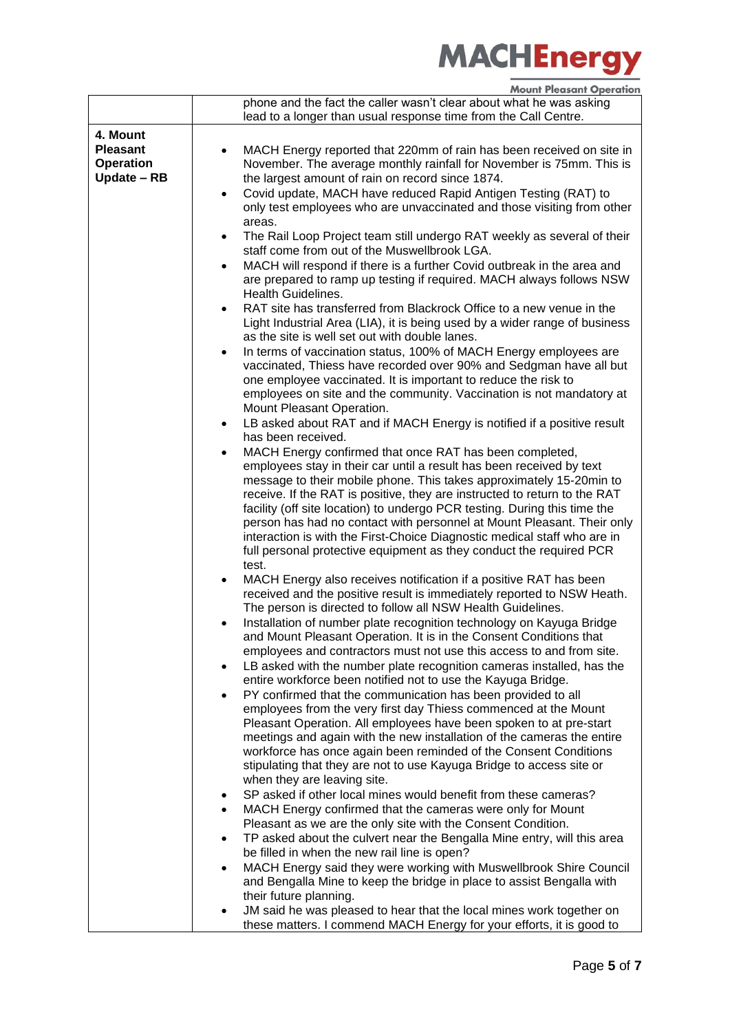|                                                                | <b>MOUIL LIGASAIL ARELAINE</b>                                                                                                                                                                                                                                                                                                                                                                                                                                                                                                                                                                              |
|----------------------------------------------------------------|-------------------------------------------------------------------------------------------------------------------------------------------------------------------------------------------------------------------------------------------------------------------------------------------------------------------------------------------------------------------------------------------------------------------------------------------------------------------------------------------------------------------------------------------------------------------------------------------------------------|
|                                                                | phone and the fact the caller wasn't clear about what he was asking<br>lead to a longer than usual response time from the Call Centre.                                                                                                                                                                                                                                                                                                                                                                                                                                                                      |
|                                                                |                                                                                                                                                                                                                                                                                                                                                                                                                                                                                                                                                                                                             |
| 4. Mount<br><b>Pleasant</b><br><b>Operation</b><br>Update - RB | MACH Energy reported that 220mm of rain has been received on site in<br>٠<br>November. The average monthly rainfall for November is 75mm. This is<br>the largest amount of rain on record since 1874.<br>Covid update, MACH have reduced Rapid Antigen Testing (RAT) to<br>$\bullet$                                                                                                                                                                                                                                                                                                                        |
|                                                                | only test employees who are unvaccinated and those visiting from other<br>areas.                                                                                                                                                                                                                                                                                                                                                                                                                                                                                                                            |
|                                                                | The Rail Loop Project team still undergo RAT weekly as several of their<br>$\bullet$<br>staff come from out of the Muswellbrook LGA.                                                                                                                                                                                                                                                                                                                                                                                                                                                                        |
|                                                                | MACH will respond if there is a further Covid outbreak in the area and<br>٠<br>are prepared to ramp up testing if required. MACH always follows NSW<br><b>Health Guidelines.</b>                                                                                                                                                                                                                                                                                                                                                                                                                            |
|                                                                | RAT site has transferred from Blackrock Office to a new venue in the<br>$\bullet$<br>Light Industrial Area (LIA), it is being used by a wider range of business<br>as the site is well set out with double lanes.                                                                                                                                                                                                                                                                                                                                                                                           |
|                                                                | In terms of vaccination status, 100% of MACH Energy employees are<br>$\bullet$<br>vaccinated, Thiess have recorded over 90% and Sedgman have all but<br>one employee vaccinated. It is important to reduce the risk to<br>employees on site and the community. Vaccination is not mandatory at                                                                                                                                                                                                                                                                                                              |
|                                                                | Mount Pleasant Operation.<br>LB asked about RAT and if MACH Energy is notified if a positive result<br>$\bullet$<br>has been received.                                                                                                                                                                                                                                                                                                                                                                                                                                                                      |
|                                                                | MACH Energy confirmed that once RAT has been completed,<br>٠<br>employees stay in their car until a result has been received by text<br>message to their mobile phone. This takes approximately 15-20min to<br>receive. If the RAT is positive, they are instructed to return to the RAT<br>facility (off site location) to undergo PCR testing. During this time the<br>person has had no contact with personnel at Mount Pleasant. Their only<br>interaction is with the First-Choice Diagnostic medical staff who are in<br>full personal protective equipment as they conduct the required PCR<br>test. |
|                                                                | MACH Energy also receives notification if a positive RAT has been<br>$\bullet$<br>received and the positive result is immediately reported to NSW Heath.<br>The person is directed to follow all NSW Health Guidelines.                                                                                                                                                                                                                                                                                                                                                                                     |
|                                                                | Installation of number plate recognition technology on Kayuga Bridge<br>and Mount Pleasant Operation. It is in the Consent Conditions that<br>employees and contractors must not use this access to and from site.                                                                                                                                                                                                                                                                                                                                                                                          |
|                                                                | LB asked with the number plate recognition cameras installed, has the<br>$\bullet$<br>entire workforce been notified not to use the Kayuga Bridge.                                                                                                                                                                                                                                                                                                                                                                                                                                                          |
|                                                                | PY confirmed that the communication has been provided to all<br>٠<br>employees from the very first day Thiess commenced at the Mount<br>Pleasant Operation. All employees have been spoken to at pre-start<br>meetings and again with the new installation of the cameras the entire<br>workforce has once again been reminded of the Consent Conditions<br>stipulating that they are not to use Kayuga Bridge to access site or<br>when they are leaving site.                                                                                                                                             |
|                                                                | SP asked if other local mines would benefit from these cameras?<br>٠<br>MACH Energy confirmed that the cameras were only for Mount<br>$\bullet$                                                                                                                                                                                                                                                                                                                                                                                                                                                             |
|                                                                | Pleasant as we are the only site with the Consent Condition.<br>TP asked about the culvert near the Bengalla Mine entry, will this area<br>٠                                                                                                                                                                                                                                                                                                                                                                                                                                                                |
|                                                                | be filled in when the new rail line is open?<br>MACH Energy said they were working with Muswellbrook Shire Council<br>$\bullet$<br>and Bengalla Mine to keep the bridge in place to assist Bengalla with<br>their future planning.                                                                                                                                                                                                                                                                                                                                                                          |
|                                                                | JM said he was pleased to hear that the local mines work together on<br>these matters. I commend MACH Energy for your efforts, it is good to                                                                                                                                                                                                                                                                                                                                                                                                                                                                |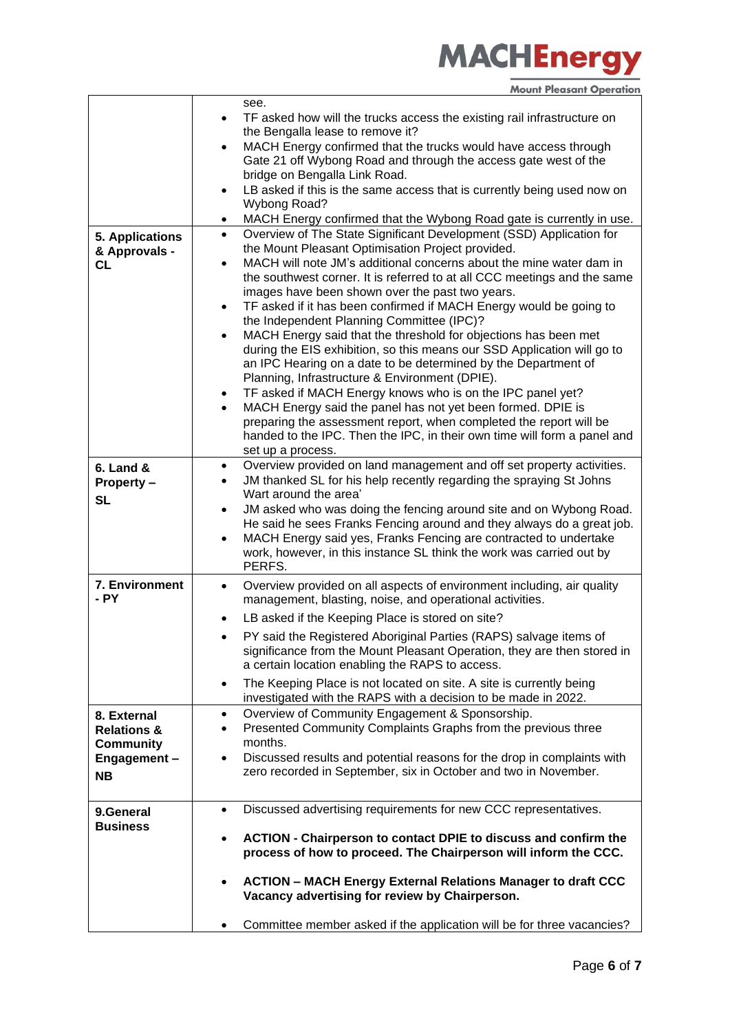|                        | see.                                                                                                                                                    |
|------------------------|---------------------------------------------------------------------------------------------------------------------------------------------------------|
|                        | TF asked how will the trucks access the existing rail infrastructure on<br>$\bullet$                                                                    |
|                        | the Bengalla lease to remove it?                                                                                                                        |
|                        | MACH Energy confirmed that the trucks would have access through<br>$\bullet$                                                                            |
|                        | Gate 21 off Wybong Road and through the access gate west of the                                                                                         |
|                        | bridge on Bengalla Link Road.                                                                                                                           |
|                        | LB asked if this is the same access that is currently being used now on<br>$\bullet$                                                                    |
|                        | <b>Wybong Road?</b>                                                                                                                                     |
|                        | MACH Energy confirmed that the Wybong Road gate is currently in use.<br>$\bullet$                                                                       |
| <b>5. Applications</b> | Overview of The State Significant Development (SSD) Application for<br>$\bullet$                                                                        |
| & Approvals -          | the Mount Pleasant Optimisation Project provided.                                                                                                       |
| CL                     | MACH will note JM's additional concerns about the mine water dam in<br>$\bullet$                                                                        |
|                        | the southwest corner. It is referred to at all CCC meetings and the same<br>images have been shown over the past two years.                             |
|                        | TF asked if it has been confirmed if MACH Energy would be going to<br>$\bullet$                                                                         |
|                        | the Independent Planning Committee (IPC)?                                                                                                               |
|                        | MACH Energy said that the threshold for objections has been met<br>$\bullet$                                                                            |
|                        | during the EIS exhibition, so this means our SSD Application will go to                                                                                 |
|                        | an IPC Hearing on a date to be determined by the Department of                                                                                          |
|                        | Planning, Infrastructure & Environment (DPIE).                                                                                                          |
|                        | TF asked if MACH Energy knows who is on the IPC panel yet?<br>٠                                                                                         |
|                        | MACH Energy said the panel has not yet been formed. DPIE is                                                                                             |
|                        | preparing the assessment report, when completed the report will be                                                                                      |
|                        | handed to the IPC. Then the IPC, in their own time will form a panel and                                                                                |
|                        | set up a process.                                                                                                                                       |
| $6.$ Land $8.$         | Overview provided on land management and off set property activities.<br>٠                                                                              |
| Property -             | JM thanked SL for his help recently regarding the spraying St Johns<br>$\bullet$                                                                        |
| <b>SL</b>              | Wart around the area'                                                                                                                                   |
|                        | JM asked who was doing the fencing around site and on Wybong Road.<br>$\bullet$                                                                         |
|                        | He said he sees Franks Fencing around and they always do a great job.                                                                                   |
|                        | MACH Energy said yes, Franks Fencing are contracted to undertake<br>$\bullet$<br>work, however, in this instance SL think the work was carried out by   |
|                        | PERFS.                                                                                                                                                  |
| 7. Environment         |                                                                                                                                                         |
| - PY                   | Overview provided on all aspects of environment including, air quality<br>$\bullet$<br>management, blasting, noise, and operational activities.         |
|                        |                                                                                                                                                         |
|                        | LB asked if the Keeping Place is stored on site?<br>٠                                                                                                   |
|                        | PY said the Registered Aboriginal Parties (RAPS) salvage items of                                                                                       |
|                        | significance from the Mount Pleasant Operation, they are then stored in                                                                                 |
|                        | a certain location enabling the RAPS to access.                                                                                                         |
|                        | The Keeping Place is not located on site. A site is currently being<br>$\bullet$                                                                        |
|                        | investigated with the RAPS with a decision to be made in 2022.                                                                                          |
| 8. External            | Overview of Community Engagement & Sponsorship.<br>$\bullet$                                                                                            |
| <b>Relations &amp;</b> | Presented Community Complaints Graphs from the previous three<br>$\bullet$<br>months.                                                                   |
| <b>Community</b>       |                                                                                                                                                         |
| Engagement-            | Discussed results and potential reasons for the drop in complaints with<br>$\bullet$<br>zero recorded in September, six in October and two in November. |
| <b>NB</b>              |                                                                                                                                                         |
|                        |                                                                                                                                                         |
| 9.General              | Discussed advertising requirements for new CCC representatives.<br>$\bullet$                                                                            |
| <b>Business</b>        |                                                                                                                                                         |
|                        | ACTION - Chairperson to contact DPIE to discuss and confirm the<br>$\bullet$<br>process of how to proceed. The Chairperson will inform the CCC.         |
|                        |                                                                                                                                                         |
|                        | <b>ACTION - MACH Energy External Relations Manager to draft CCC</b><br>$\bullet$                                                                        |
|                        | Vacancy advertising for review by Chairperson.                                                                                                          |
|                        |                                                                                                                                                         |
|                        | Committee member asked if the application will be for three vacancies?<br>٠                                                                             |